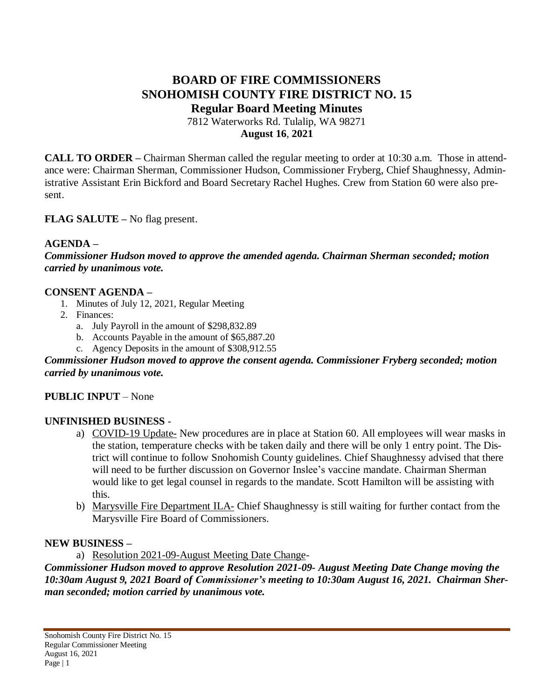# **BOARD OF FIRE COMMISSIONERS SNOHOMISH COUNTY FIRE DISTRICT NO. 15 Regular Board Meeting Minutes**

7812 Waterworks Rd. Tulalip, WA 98271 **August 16**, **2021**

**CALL TO ORDER –** Chairman Sherman called the regular meeting to order at 10:30 a.m. Those in attendance were: Chairman Sherman, Commissioner Hudson, Commissioner Fryberg, Chief Shaughnessy, Administrative Assistant Erin Bickford and Board Secretary Rachel Hughes. Crew from Station 60 were also present.

## **FLAG SALUTE –** No flag present.

### **AGENDA –**

*Commissioner Hudson moved to approve the amended agenda. Chairman Sherman seconded; motion carried by unanimous vote.*

### **CONSENT AGENDA –**

- 1. Minutes of July 12, 2021, Regular Meeting
- 2. Finances:
	- a. July Payroll in the amount of \$298,832.89
	- b. Accounts Payable in the amount of \$65,887.20
	- c. Agency Deposits in the amount of \$308,912.55

#### *Commissioner Hudson moved to approve the consent agenda. Commissioner Fryberg seconded; motion carried by unanimous vote.*

### **PUBLIC INPUT** – None

### **UNFINISHED BUSINESS** -

- a) COVID-19 Update- New procedures are in place at Station 60. All employees will wear masks in the station, temperature checks with be taken daily and there will be only 1 entry point. The District will continue to follow Snohomish County guidelines. Chief Shaughnessy advised that there will need to be further discussion on Governor Inslee's vaccine mandate. Chairman Sherman would like to get legal counsel in regards to the mandate. Scott Hamilton will be assisting with this.
- b) Marysville Fire Department ILA- Chief Shaughnessy is still waiting for further contact from the Marysville Fire Board of Commissioners.

### **NEW BUSINESS –**

a) Resolution 2021-09-August Meeting Date Change-

*Commissioner Hudson moved to approve Resolution 2021-09- August Meeting Date Change moving the 10:30am August 9, 2021 Board of Commissioner's meeting to 10:30am August 16, 2021. Chairman Sherman seconded; motion carried by unanimous vote.*